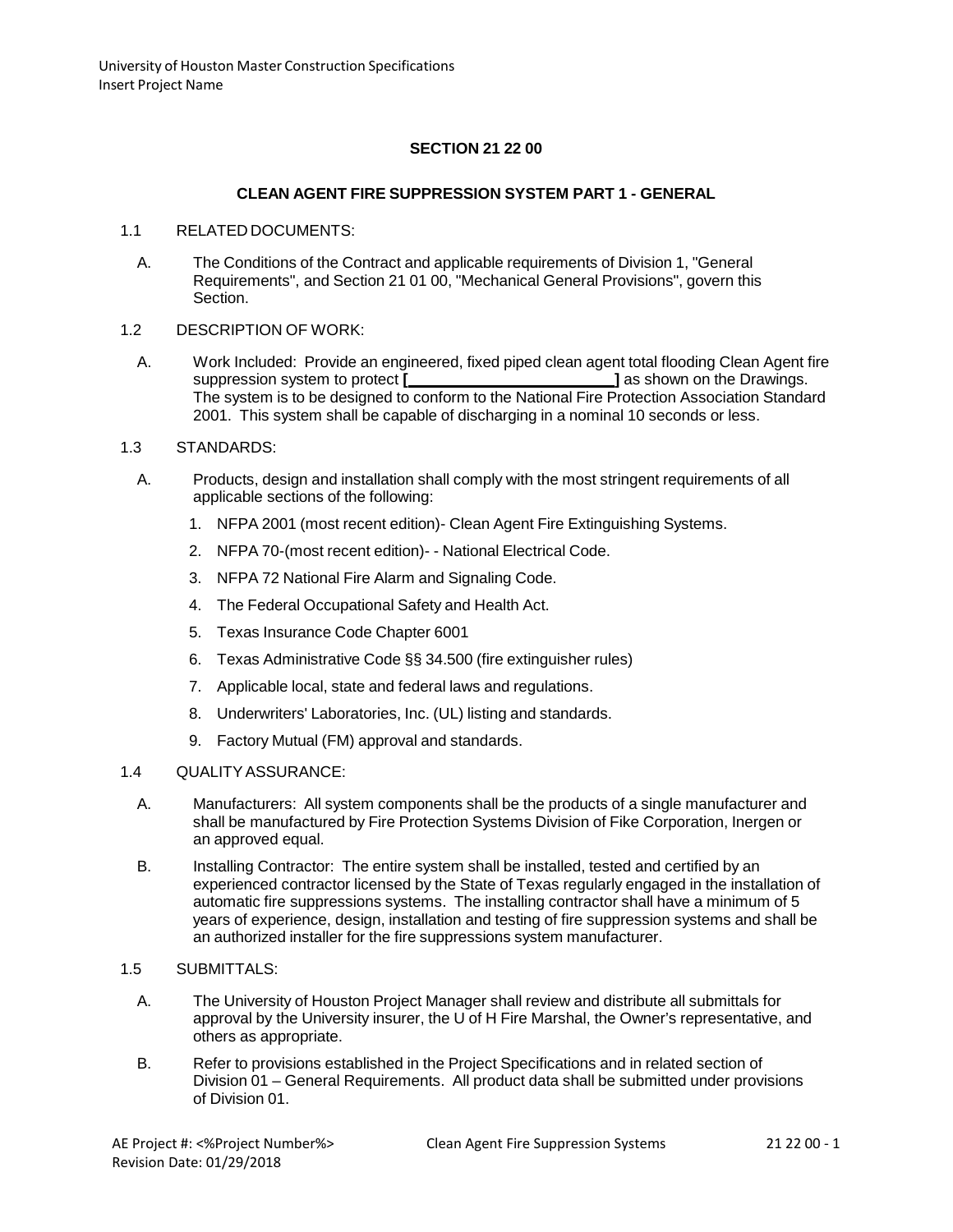## **SECTION 21 22 00**

#### **CLEAN AGENT FIRE SUPPRESSION SYSTEM PART 1 - GENERAL**

### 1.1 RELATED DOCUMENTS:

A. The Conditions of the Contract and applicable requirements of Division 1, "General Requirements", and Section 21 01 00, "Mechanical General Provisions", govern this Section.

#### 1.2 DESCRIPTION OF WORK:

- A. Work Included: Provide an engineered, fixed piped clean agent total flooding Clean Agent fire suppression system to protect  $\sim$  **[**  $\sim$  **]** as shown on the Drawings. The system is to be designed to conform to the National Fire Protection Association Standard 2001. This system shall be capable of discharging in a nominal 10 seconds or less.
- 1.3 STANDARDS:
	- A. Products, design and installation shall comply with the most stringent requirements of all applicable sections of the following:
		- 1. NFPA 2001 (most recent edition)- Clean Agent Fire Extinguishing Systems.
		- 2. NFPA 70-(most recent edition)- National Electrical Code.
		- 3. NFPA 72 National Fire Alarm and Signaling Code.
		- 4. The Federal Occupational Safety and Health Act.
		- 5. Texas Insurance Code Chapter 6001
		- 6. Texas Administrative Code §§ 34.500 (fire extinguisher rules)
		- 7. Applicable local, state and federal laws and regulations.
		- 8. Underwriters' Laboratories, Inc. (UL) listing and standards.
		- 9. Factory Mutual (FM) approval and standards.

#### 1.4 QUALITYASSURANCE:

- A. Manufacturers: All system components shall be the products of a single manufacturer and shall be manufactured by Fire Protection Systems Division of Fike Corporation, Inergen or an approved equal.
- B. Installing Contractor: The entire system shall be installed, tested and certified by an experienced contractor licensed by the State of Texas regularly engaged in the installation of automatic fire suppressions systems. The installing contractor shall have a minimum of 5 years of experience, design, installation and testing of fire suppression systems and shall be an authorized installer for the fire suppressions system manufacturer.

#### 1.5 SUBMITTALS:

- A. The University of Houston Project Manager shall review and distribute all submittals for approval by the University insurer, the U of H Fire Marshal, the Owner's representative, and others as appropriate.
- B. Refer to provisions established in the Project Specifications and in related section of Division 01 – General Requirements. All product data shall be submitted under provisions of Division 01.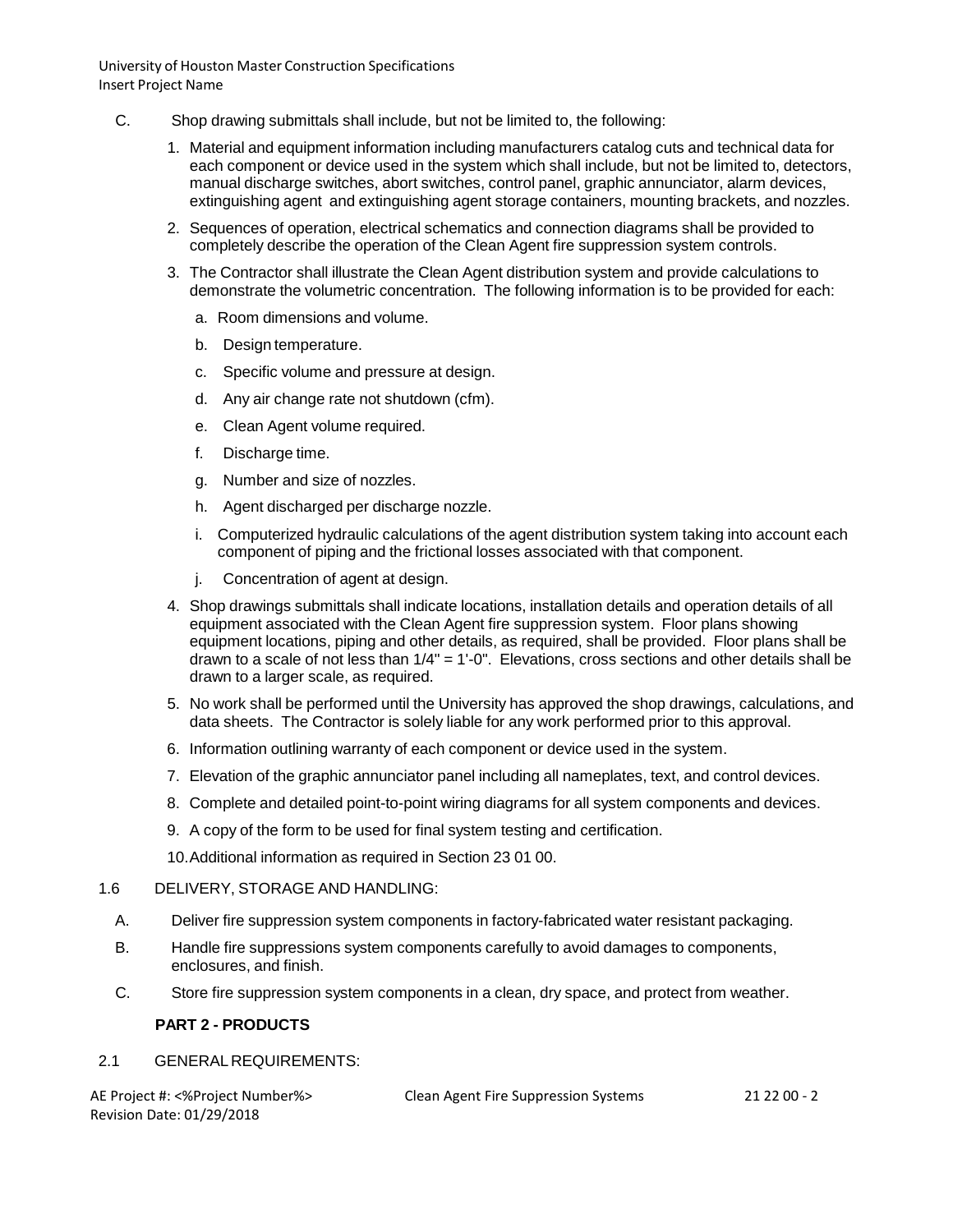- C. Shop drawing submittals shall include, but not be limited to, the following:
	- 1. Material and equipment information including manufacturers catalog cuts and technical data for each component or device used in the system which shall include, but not be limited to, detectors, manual discharge switches, abort switches, control panel, graphic annunciator, alarm devices, extinguishing agent and extinguishing agent storage containers, mounting brackets, and nozzles.
	- 2. Sequences of operation, electrical schematics and connection diagrams shall be provided to completely describe the operation of the Clean Agent fire suppression system controls.
	- 3. The Contractor shall illustrate the Clean Agent distribution system and provide calculations to demonstrate the volumetric concentration. The following information is to be provided for each:
		- a. Room dimensions and volume.
		- b. Design temperature.
		- c. Specific volume and pressure at design.
		- d. Any air change rate not shutdown (cfm).
		- e. Clean Agent volume required.
		- f. Discharge time.
		- g. Number and size of nozzles.
		- h. Agent discharged per discharge nozzle.
		- i. Computerized hydraulic calculations of the agent distribution system taking into account each component of piping and the frictional losses associated with that component.
		- j. Concentration of agent at design.
	- 4. Shop drawings submittals shall indicate locations, installation details and operation details of all equipment associated with the Clean Agent fire suppression system. Floor plans showing equipment locations, piping and other details, as required, shall be provided. Floor plans shall be drawn to a scale of not less than  $1/4" = 1'-0"$ . Elevations, cross sections and other details shall be drawn to a larger scale, as required.
	- 5. No work shall be performed until the University has approved the shop drawings, calculations, and data sheets. The Contractor is solely liable for any work performed prior to this approval.
	- 6. Information outlining warranty of each component or device used in the system.
	- 7. Elevation of the graphic annunciator panel including all nameplates, text, and control devices.
	- 8. Complete and detailed point-to-point wiring diagrams for all system components and devices.
	- 9. A copy of the form to be used for final system testing and certification.
	- 10.Additional information as required in Section 23 01 00.

#### 1.6 DELIVERY, STORAGE AND HANDLING:

- A. Deliver fire suppression system components in factory-fabricated water resistant packaging.
- B. Handle fire suppressions system components carefully to avoid damages to components, enclosures, and finish.
- C. Store fire suppression system components in a clean, dry space, and protect from weather.

#### **PART 2 - PRODUCTS**

2.1 GENERALREQUIREMENTS:

Revision Date: 01/29/2018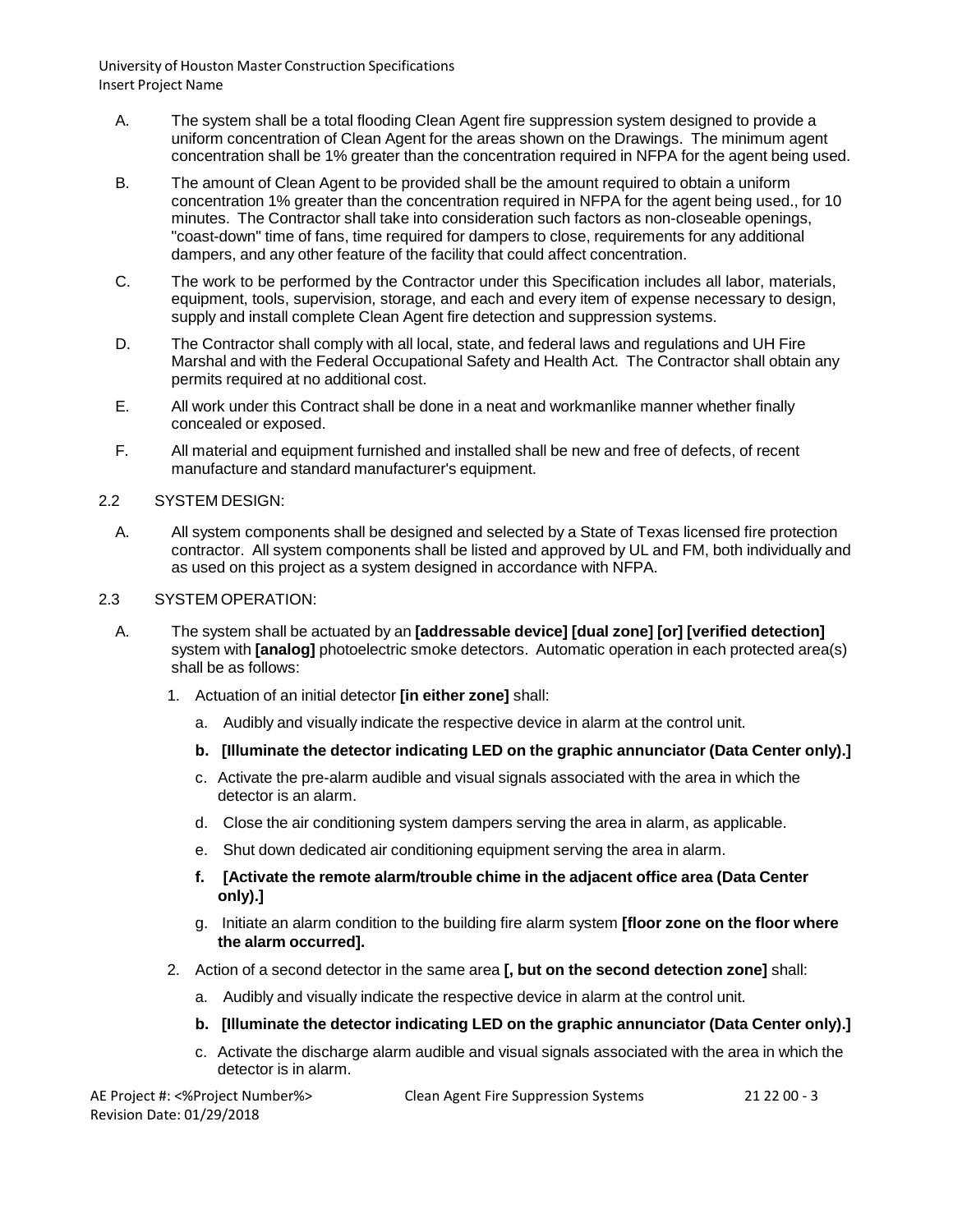- A. The system shall be a total flooding Clean Agent fire suppression system designed to provide a uniform concentration of Clean Agent for the areas shown on the Drawings. The minimum agent concentration shall be 1% greater than the concentration required in NFPA for the agent being used.
- B. The amount of Clean Agent to be provided shall be the amount required to obtain a uniform concentration 1% greater than the concentration required in NFPA for the agent being used., for 10 minutes. The Contractor shall take into consideration such factors as non-closeable openings, "coast-down" time of fans, time required for dampers to close, requirements for any additional dampers, and any other feature of the facility that could affect concentration.
- C. The work to be performed by the Contractor under this Specification includes all labor, materials, equipment, tools, supervision, storage, and each and every item of expense necessary to design, supply and install complete Clean Agent fire detection and suppression systems.
- D. The Contractor shall comply with all local, state, and federal laws and regulations and UH Fire Marshal and with the Federal Occupational Safety and Health Act. The Contractor shall obtain any permits required at no additional cost.
- E. All work under this Contract shall be done in a neat and workmanlike manner whether finally concealed or exposed.
- F. All material and equipment furnished and installed shall be new and free of defects, of recent manufacture and standard manufacturer's equipment.
- 2.2 SYSTEM DESIGN:
	- A. All system components shall be designed and selected by a State of Texas licensed fire protection contractor. All system components shall be listed and approved by UL and FM, both individually and as used on this project as a system designed in accordance with NFPA.

## 2.3 SYSTEM OPERATION:

- A. The system shall be actuated by an **[addressable device] [dual zone] [or] [verified detection]** system with **[analog]** photoelectric smoke detectors. Automatic operation in each protected area(s) shall be as follows:
	- 1. Actuation of an initial detector **[in either zone]** shall:
		- a. Audibly and visually indicate the respective device in alarm at the control unit.
		- **b. [Illuminate the detector indicating LED on the graphic annunciator (Data Center only).]**
		- c. Activate the pre-alarm audible and visual signals associated with the area in which the detector is an alarm.
		- d. Close the air conditioning system dampers serving the area in alarm, as applicable.
		- e. Shut down dedicated air conditioning equipment serving the area in alarm.
		- **f. [Activate the remote alarm/trouble chime in the adjacent office area (Data Center only).]**
		- g. Initiate an alarm condition to the building fire alarm system **[floor zone on the floor where the alarm occurred].**
	- 2. Action of a second detector in the same area **[, but on the second detection zone]** shall:
		- a. Audibly and visually indicate the respective device in alarm at the control unit.
		- **b. [Illuminate the detector indicating LED on the graphic annunciator (Data Center only).]**
		- c. Activate the discharge alarm audible and visual signals associated with the area in which the detector is in alarm.

Revision Date: 01/29/2018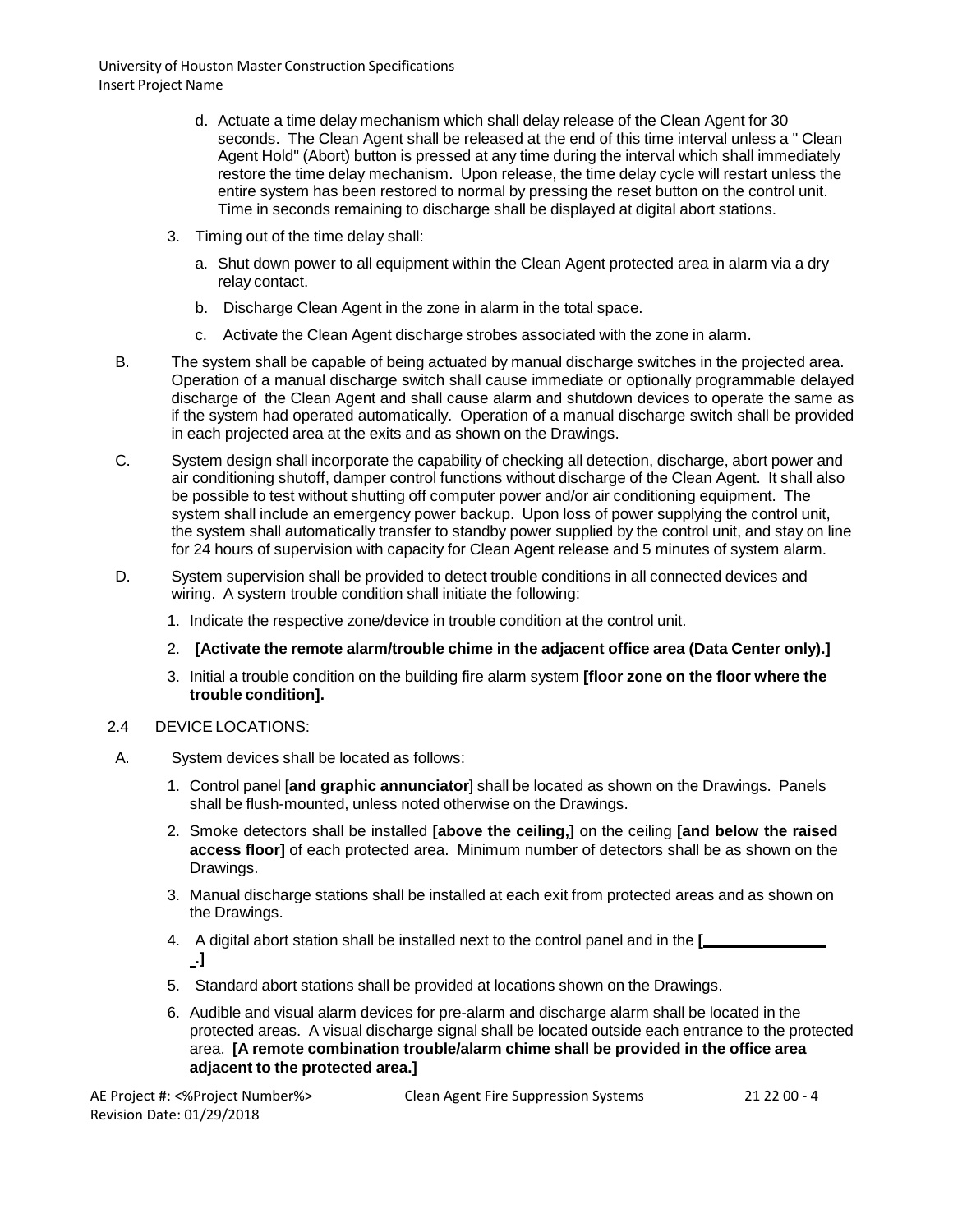- d. Actuate a time delay mechanism which shall delay release of the Clean Agent for 30 seconds. The Clean Agent shall be released at the end of this time interval unless a " Clean Agent Hold" (Abort) button is pressed at any time during the interval which shall immediately restore the time delay mechanism. Upon release, the time delay cycle will restart unless the entire system has been restored to normal by pressing the reset button on the control unit. Time in seconds remaining to discharge shall be displayed at digital abort stations.
- 3. Timing out of the time delay shall:
	- a. Shut down power to all equipment within the Clean Agent protected area in alarm via a dry relay contact.
	- b. Discharge Clean Agent in the zone in alarm in the total space.
	- c. Activate the Clean Agent discharge strobes associated with the zone in alarm.
- B. The system shall be capable of being actuated by manual discharge switches in the projected area. Operation of a manual discharge switch shall cause immediate or optionally programmable delayed discharge of the Clean Agent and shall cause alarm and shutdown devices to operate the same as if the system had operated automatically. Operation of a manual discharge switch shall be provided in each projected area at the exits and as shown on the Drawings.
- C. System design shall incorporate the capability of checking all detection, discharge, abort power and air conditioning shutoff, damper control functions without discharge of the Clean Agent. It shall also be possible to test without shutting off computer power and/or air conditioning equipment. The system shall include an emergency power backup. Upon loss of power supplying the control unit, the system shall automatically transfer to standby power supplied by the control unit, and stay on line for 24 hours of supervision with capacity for Clean Agent release and 5 minutes of system alarm.
- D. System supervision shall be provided to detect trouble conditions in all connected devices and wiring. A system trouble condition shall initiate the following:
	- 1. Indicate the respective zone/device in trouble condition at the control unit.
	- 2. **[Activate the remote alarm/trouble chime in the adjacent office area (Data Center only).]**
	- 3. Initial a trouble condition on the building fire alarm system **[floor zone on the floor where the trouble condition].**
- 2.4 DEVICELOCATIONS:
- A. System devices shall be located as follows:
	- 1. Control panel [**and graphic annunciator**] shall be located as shown on the Drawings. Panels shall be flush-mounted, unless noted otherwise on the Drawings.
	- 2. Smoke detectors shall be installed **[above the ceiling,]** on the ceiling **[and below the raised access floor]** of each protected area. Minimum number of detectors shall be as shown on the Drawings.
	- 3. Manual discharge stations shall be installed at each exit from protected areas and as shown on the Drawings.
	- 4. A digital abort station shall be installed next to the control panel and in the **[ .]**
	- 5. Standard abort stations shall be provided at locations shown on the Drawings.
	- 6. Audible and visual alarm devices for pre-alarm and discharge alarm shall be located in the protected areas. A visual discharge signal shall be located outside each entrance to the protected area. **[A remote combination trouble/alarm chime shall be provided in the office area adjacent to the protected area.]**

Revision Date: 01/29/2018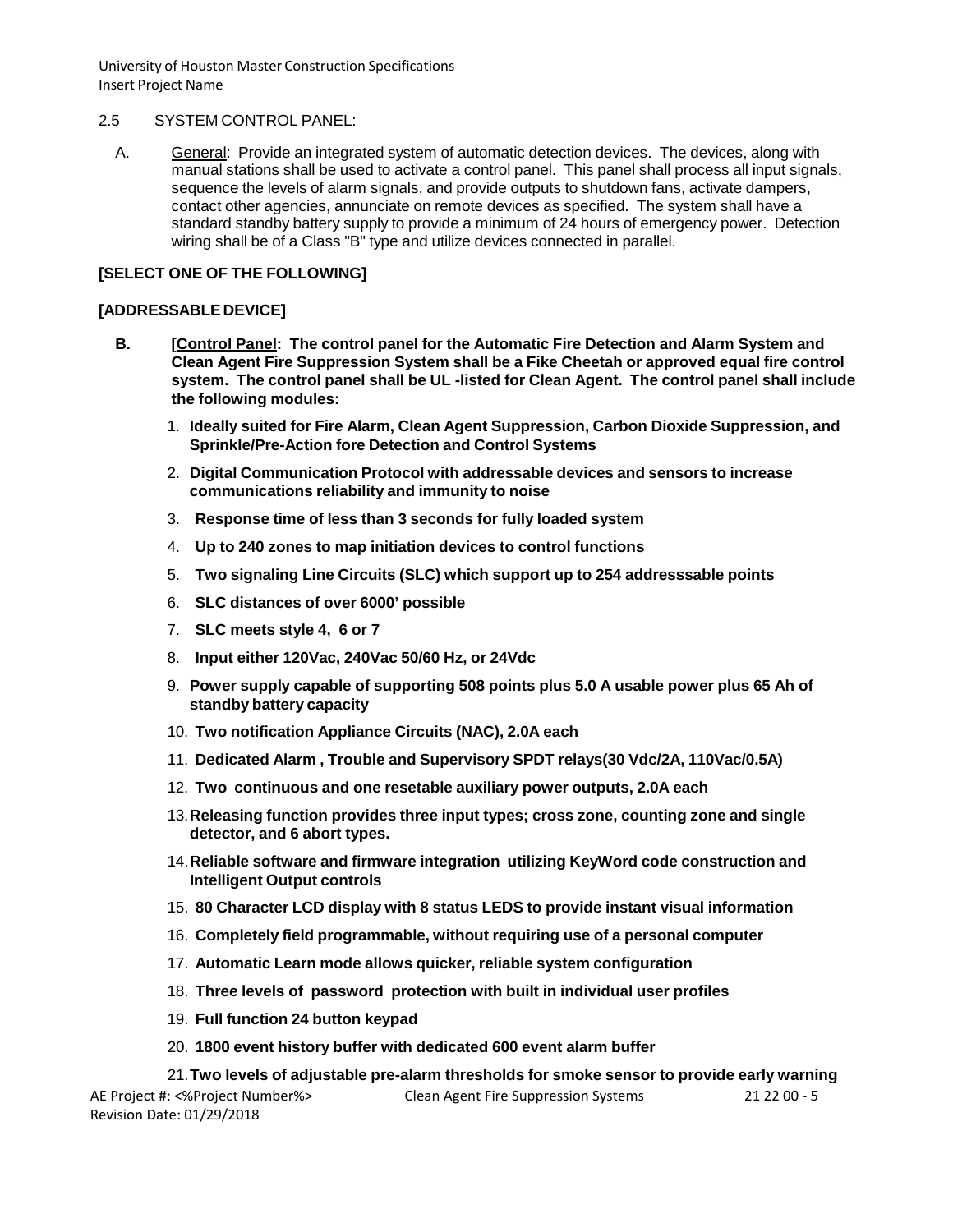## 2.5 SYSTEM CONTROL PANEL:

A. General: Provide an integrated system of automatic detection devices. The devices, along with manual stations shall be used to activate a control panel. This panel shall process all input signals, sequence the levels of alarm signals, and provide outputs to shutdown fans, activate dampers, contact other agencies, annunciate on remote devices as specified. The system shall have a standard standby battery supply to provide a minimum of 24 hours of emergency power. Detection wiring shall be of a Class "B" type and utilize devices connected in parallel.

### **[SELECT ONE OF THE FOLLOWING]**

#### **[ADDRESSABLE DEVICE]**

- **B. [Control Panel: The control panel for the Automatic Fire Detection and Alarm System and Clean Agent Fire Suppression System shall be a Fike Cheetah or approved equal fire control system. The control panel shall be UL -listed for Clean Agent. The control panel shall include the following modules:**
	- 1. **Ideally suited for Fire Alarm, Clean Agent Suppression, Carbon Dioxide Suppression, and Sprinkle/Pre-Action fore Detection and Control Systems**
	- 2. **Digital Communication Protocol with addressable devices and sensors to increase communications reliability and immunity to noise**
	- 3. **Response time of less than 3 seconds for fully loaded system**
	- 4. **Up to 240 zones to map initiation devices to control functions**
	- 5. **Two signaling Line Circuits (SLC) which support up to 254 addresssable points**
	- 6. **SLC distances of over 6000' possible**
	- 7. **SLC meets style 4, 6 or 7**
	- 8. **Input either 120Vac, 240Vac 50/60 Hz, or 24Vdc**
	- 9. **Power supply capable of supporting 508 points plus 5.0 A usable power plus 65 Ah of standby battery capacity**
	- 10. **Two notification Appliance Circuits (NAC), 2.0A each**
	- 11. **Dedicated Alarm , Trouble and Supervisory SPDT relays(30 Vdc/2A, 110Vac/0.5A)**
	- 12. **Two continuous and one resetable auxiliary power outputs, 2.0A each**
	- 13.**Releasing function provides three input types; cross zone, counting zone and single detector, and 6 abort types.**
	- 14.**Reliable software and firmware integration utilizing KeyWord code construction and Intelligent Output controls**
	- 15. **80 Character LCD display with 8 status LEDS to provide instant visual information**
	- 16. **Completely field programmable, without requiring use of a personal computer**
	- 17. **Automatic Learn mode allows quicker, reliable system configuration**
	- 18. **Three levels of password protection with built in individual user profiles**
	- 19. **Full function 24 button keypad**
	- 20. **1800 event history buffer with dedicated 600 event alarm buffer**

AE Project #: <%Project Number%> Clean Agent Fire Suppression Systems 21 22 00 - 5 Revision Date: 01/29/2018 21.**Two levels of adjustable pre-alarm thresholds for smoke sensor to provide early warning**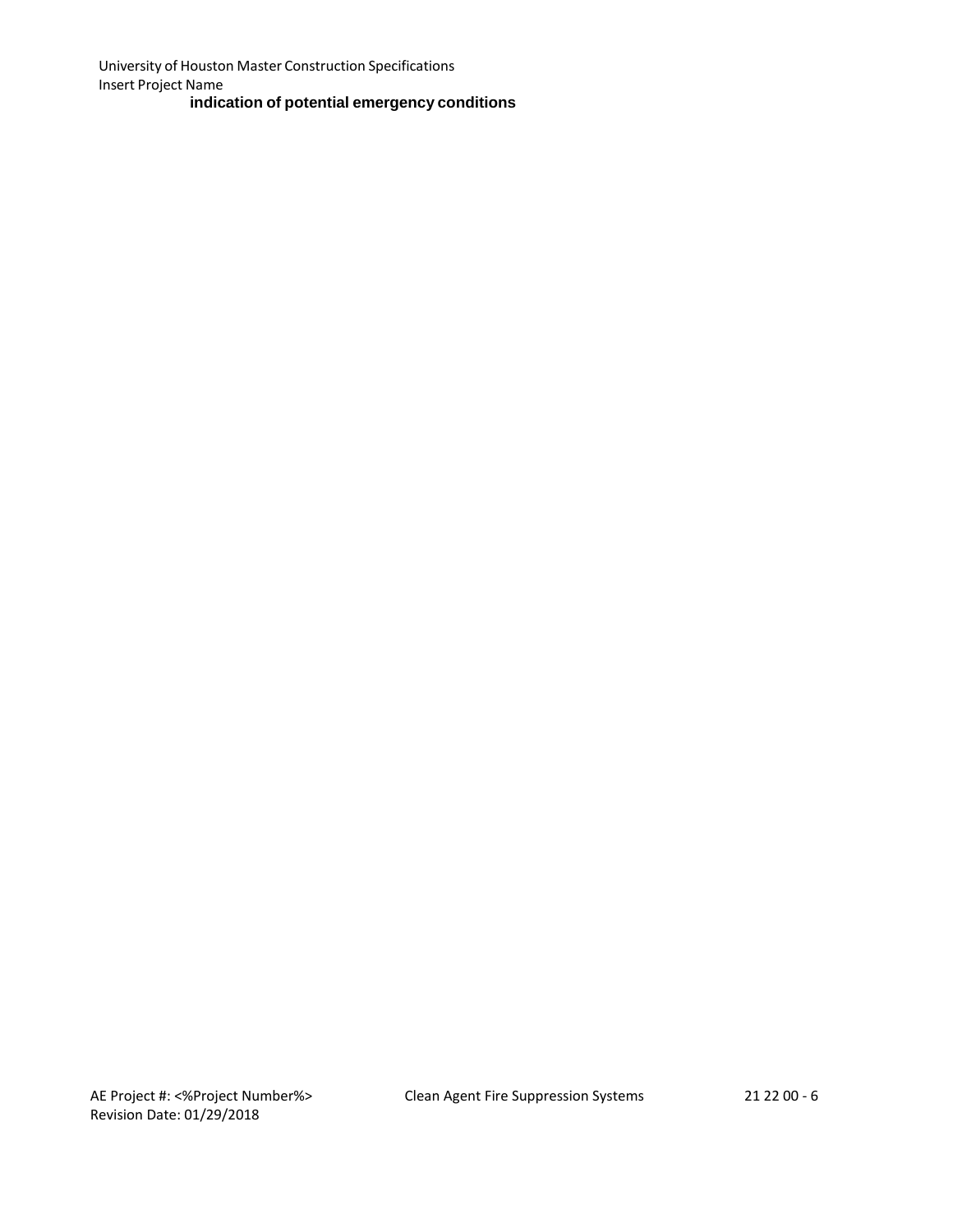University of Houston Master Construction Specifications Insert Project Name **indication of potential emergency conditions**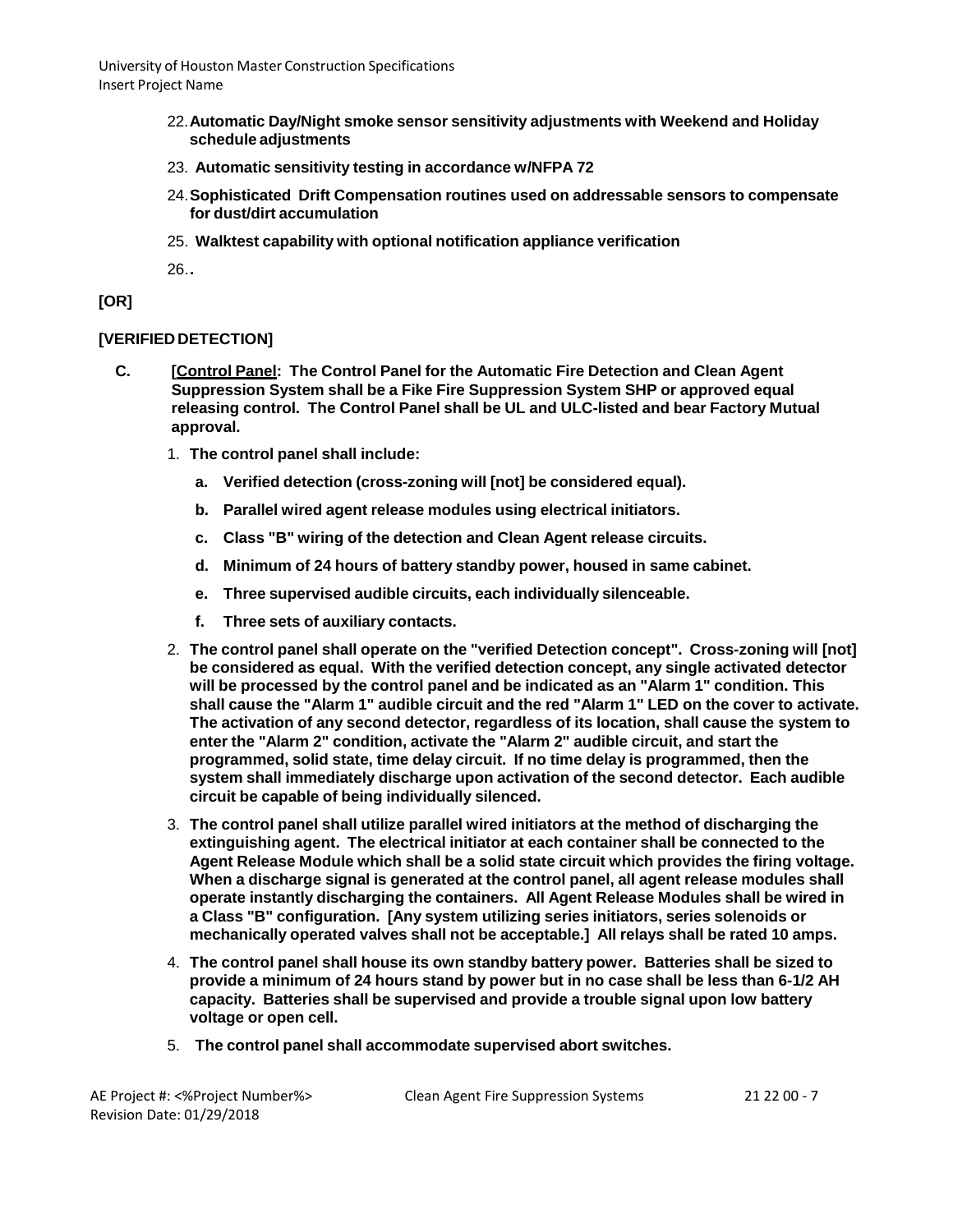- 22.**Automatic Day/Night smoke sensor sensitivity adjustments with Weekend and Holiday schedule adjustments**
- 23. **Automatic sensitivity testing in accordance w/NFPA 72**
- 24.**Sophisticated Drift Compensation routines used on addressable sensors to compensate for dust/dirt accumulation**
- 25. **Walktest capability with optional notification appliance verification**
- 26.**.**

## **[OR]**

### **[VERIFIED DETECTION]**

- **C. [Control Panel: The Control Panel for the Automatic Fire Detection and Clean Agent Suppression System shall be a Fike Fire Suppression System SHP or approved equal releasing control. The Control Panel shall be UL and ULC-listed and bear Factory Mutual approval.**
	- 1. **The control panel shall include:**
		- **a. Verified detection (cross-zoning will [not] be considered equal).**
		- **b. Parallel wired agent release modules using electrical initiators.**
		- **c. Class "B" wiring of the detection and Clean Agent release circuits.**
		- **d. Minimum of 24 hours of battery standby power, housed in same cabinet.**
		- **e. Three supervised audible circuits, each individually silenceable.**
		- **f. Three sets of auxiliary contacts.**
	- 2. **The control panel shall operate on the "verified Detection concept". Cross-zoning will [not] be considered as equal. With the verified detection concept, any single activated detector will be processed by the control panel and be indicated as an "Alarm 1" condition. This shall cause the "Alarm 1" audible circuit and the red "Alarm 1" LED on the cover to activate. The activation of any second detector, regardless of its location, shall cause the system to enter the "Alarm 2" condition, activate the "Alarm 2" audible circuit, and start the programmed, solid state, time delay circuit. If no time delay is programmed, then the system shall immediately discharge upon activation of the second detector. Each audible circuit be capable of being individually silenced.**
	- 3. **The control panel shall utilize parallel wired initiators at the method of discharging the extinguishing agent. The electrical initiator at each container shall be connected to the Agent Release Module which shall be a solid state circuit which provides the firing voltage. When a discharge signal is generated at the control panel, all agent release modules shall operate instantly discharging the containers. All Agent Release Modules shall be wired in a Class "B" configuration. [Any system utilizing series initiators, series solenoids or mechanically operated valves shall not be acceptable.] All relays shall be rated 10 amps.**
	- 4. **The control panel shall house its own standby battery power. Batteries shall be sized to provide a minimum of 24 hours stand by power but in no case shall be less than 6-1/2 AH capacity. Batteries shall be supervised and provide a trouble signal upon low battery voltage or open cell.**
	- 5. **The control panel shall accommodate supervised abort switches.**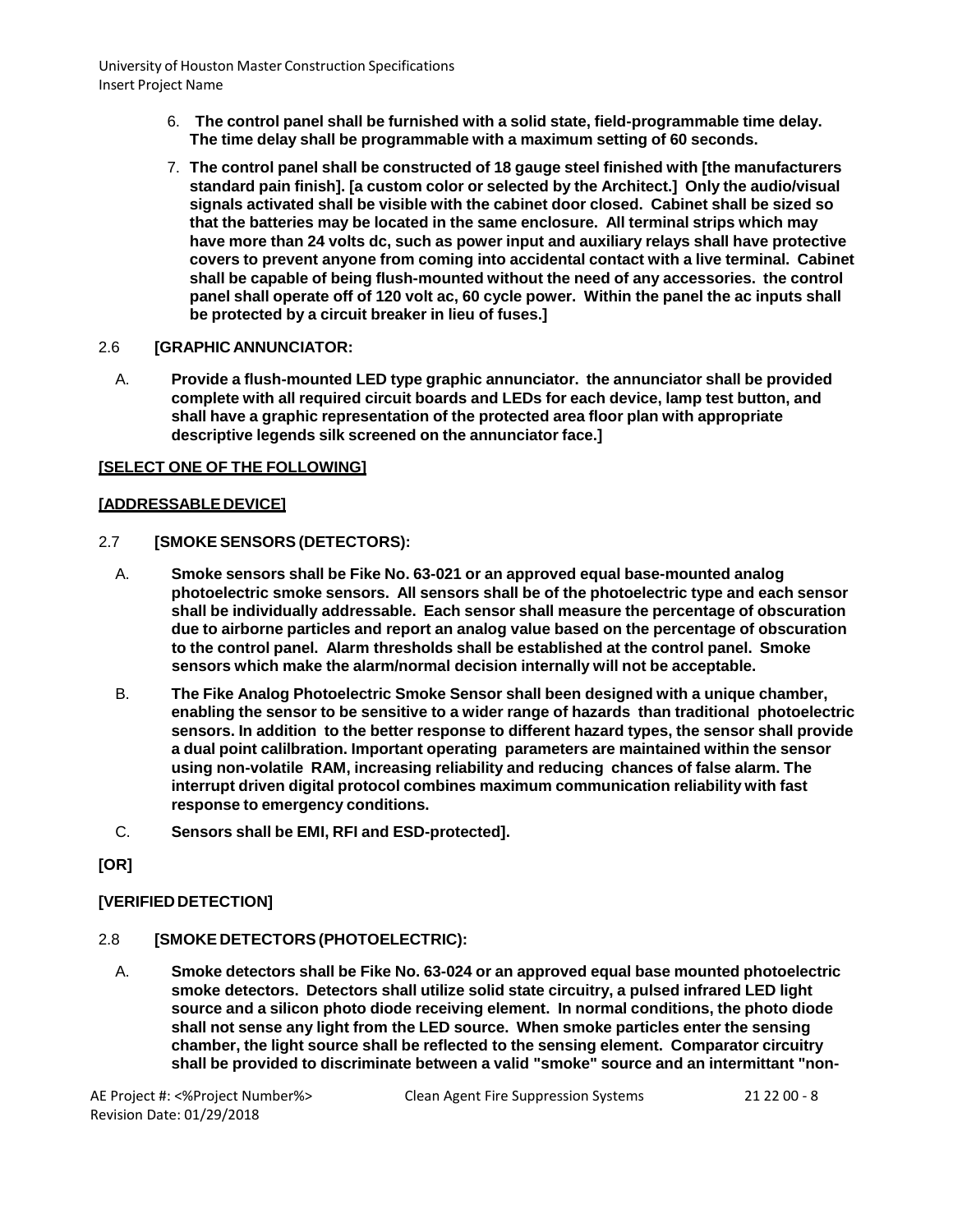- 6. **The control panel shall be furnished with a solid state, field-programmable time delay. The time delay shall be programmable with a maximum setting of 60 seconds.**
- 7. **The control panel shall be constructed of 18 gauge steel finished with [the manufacturers standard pain finish]. [a custom color or selected by the Architect.] Only the audio/visual signals activated shall be visible with the cabinet door closed. Cabinet shall be sized so that the batteries may be located in the same enclosure. All terminal strips which may have more than 24 volts dc, such as power input and auxiliary relays shall have protective covers to prevent anyone from coming into accidental contact with a live terminal. Cabinet shall be capable of being flush-mounted without the need of any accessories. the control panel shall operate off of 120 volt ac, 60 cycle power. Within the panel the ac inputs shall be protected by a circuit breaker in lieu of fuses.]**
- 2.6 **[GRAPHIC ANNUNCIATOR:**
	- A. **Provide a flush-mounted LED type graphic annunciator. the annunciator shall be provided complete with all required circuit boards and LEDs for each device, lamp test button, and shall have a graphic representation of the protected area floor plan with appropriate descriptive legends silk screened on the annunciator face.]**

### **[SELECT ONE OF THE FOLLOWING]**

### **[ADDRESSABLE DEVICE]**

- 2.7 **[SMOKE SENSORS (DETECTORS):**
	- A. **Smoke sensors shall be Fike No. 63-021 or an approved equal base-mounted analog photoelectric smoke sensors. All sensors shall be of the photoelectric type and each sensor shall be individually addressable. Each sensor shall measure the percentage of obscuration due to airborne particles and report an analog value based on the percentage of obscuration to the control panel. Alarm thresholds shall be established at the control panel. Smoke sensors which make the alarm/normal decision internally will not be acceptable.**
	- B. **The Fike Analog Photoelectric Smoke Sensor shall been designed with a unique chamber, enabling the sensor to be sensitive to a wider range of hazards than traditional photoelectric sensors. In addition to the better response to different hazard types, the sensor shall provide a dual point calilbration. Important operating parameters are maintained within the sensor using non-volatile RAM, increasing reliability and reducing chances of false alarm. The interrupt driven digital protocol combines maximum communication reliability with fast response to emergency conditions.**
	- C. **Sensors shall be EMI, RFI and ESD-protected].**

## **[OR]**

## **[VERIFIED DETECTION]**

- 2.8 **[SMOKE DETECTORS(PHOTOELECTRIC):**
	- A. **Smoke detectors shall be Fike No. 63-024 or an approved equal base mounted photoelectric smoke detectors. Detectors shall utilize solid state circuitry, a pulsed infrared LED light source and a silicon photo diode receiving element. In normal conditions, the photo diode shall not sense any light from the LED source. When smoke particles enter the sensing chamber, the light source shall be reflected to the sensing element. Comparator circuitry shall be provided to discriminate between a valid "smoke" source and an intermittant "non-**

Revision Date: 01/29/2018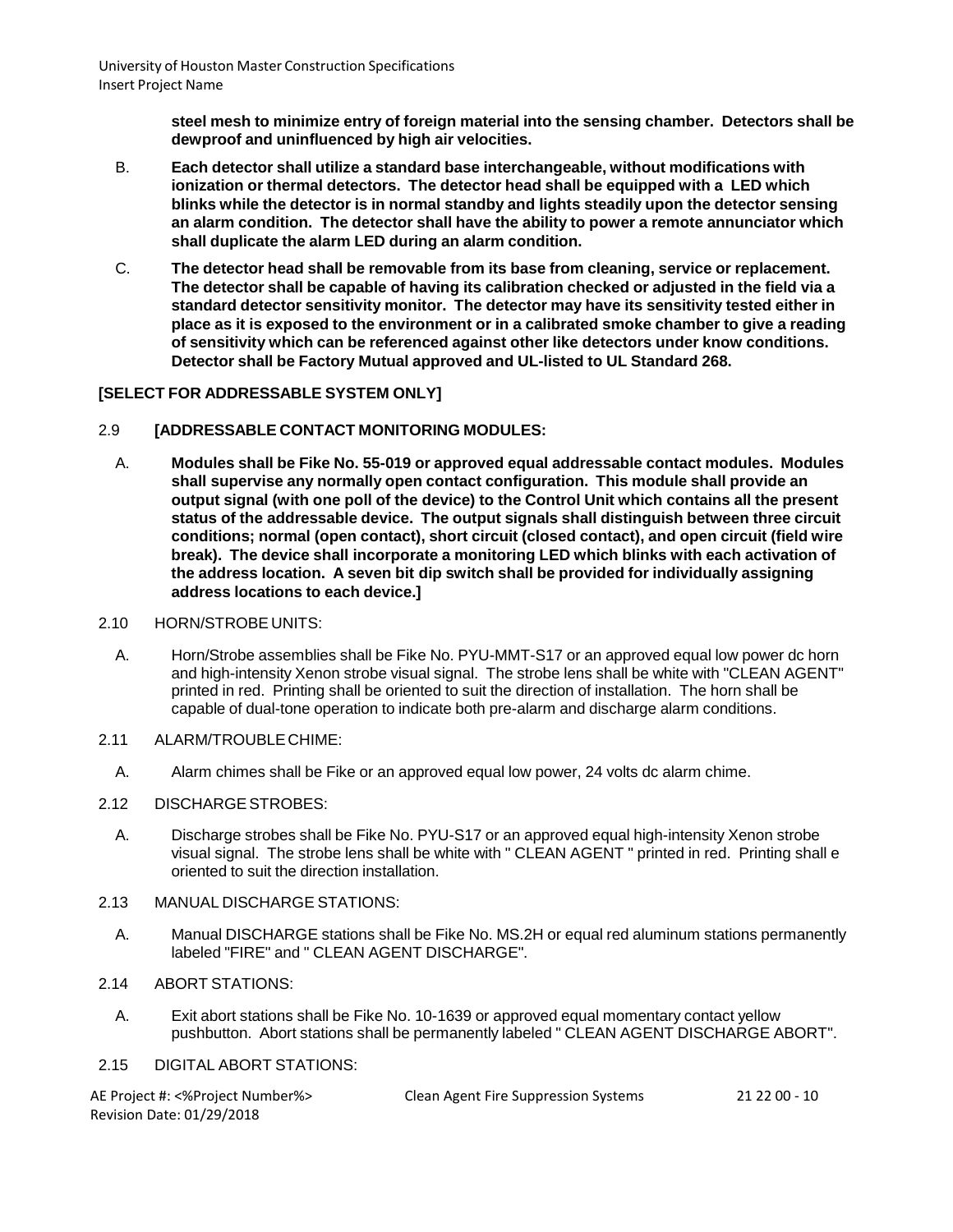**steel mesh to minimize entry of foreign material into the sensing chamber. Detectors shall be dewproof and uninfluenced by high air velocities.**

- B. **Each detector shall utilize a standard base interchangeable, without modifications with ionization or thermal detectors. The detector head shall be equipped with a LED which blinks while the detector is in normal standby and lights steadily upon the detector sensing an alarm condition. The detector shall have the ability to power a remote annunciator which shall duplicate the alarm LED during an alarm condition.**
- C. **The detector head shall be removable from its base from cleaning, service or replacement. The detector shall be capable of having its calibration checked or adjusted in the field via a standard detector sensitivity monitor. The detector may have its sensitivity tested either in place as it is exposed to the environment or in a calibrated smoke chamber to give a reading of sensitivity which can be referenced against other like detectors under know conditions. Detector shall be Factory Mutual approved and UL-listed to UL Standard 268.**

## **[SELECT FOR ADDRESSABLE SYSTEM ONLY]**

- 2.9 **[ADDRESSABLE CONTACT MONITORING MODULES:**
	- A. **Modules shall be Fike No. 55-019 or approved equal addressable contact modules. Modules shall supervise any normally open contact configuration. This module shall provide an output signal (with one poll of the device) to the Control Unit which contains all the present status of the addressable device. The output signals shall distinguish between three circuit conditions; normal (open contact), short circuit (closed contact), and open circuit (field wire break). The device shall incorporate a monitoring LED which blinks with each activation of the address location. A seven bit dip switch shall be provided for individually assigning address locations to each device.]**
- 2.10 HORN/STROBE UNITS:
	- A. Horn/Strobe assemblies shall be Fike No. PYU-MMT-S17 or an approved equal low power dc horn and high-intensity Xenon strobe visual signal. The strobe lens shall be white with "CLEAN AGENT" printed in red. Printing shall be oriented to suit the direction of installation. The horn shall be capable of dual-tone operation to indicate both pre-alarm and discharge alarm conditions.
- 2.11 ALARM/TROUBLECHIME:
	- A. Alarm chimes shall be Fike or an approved equal low power, 24 volts dc alarm chime.
- 2.12 DISCHARGESTROBES:
	- A. Discharge strobes shall be Fike No. PYU-S17 or an approved equal high-intensity Xenon strobe visual signal. The strobe lens shall be white with " CLEAN AGENT " printed in red. Printing shall e oriented to suit the direction installation.
- 2.13 MANUAL DISCHARGE STATIONS:
	- A. Manual DISCHARGE stations shall be Fike No. MS.2H or equal red aluminum stations permanently labeled "FIRE" and " CLEAN AGENT DISCHARGE".
- 2.14 ABORT STATIONS:
	- A. Exit abort stations shall be Fike No. 10-1639 or approved equal momentary contact yellow pushbutton. Abort stations shall be permanently labeled " CLEAN AGENT DISCHARGE ABORT".
- 2.15 DIGITAL ABORT STATIONS:

| AE Project #: <%Project Number%> | Clean Agent Fire Suppression Systems | 21 22 00 - 10 |
|----------------------------------|--------------------------------------|---------------|
| Revision Date: 01/29/2018        |                                      |               |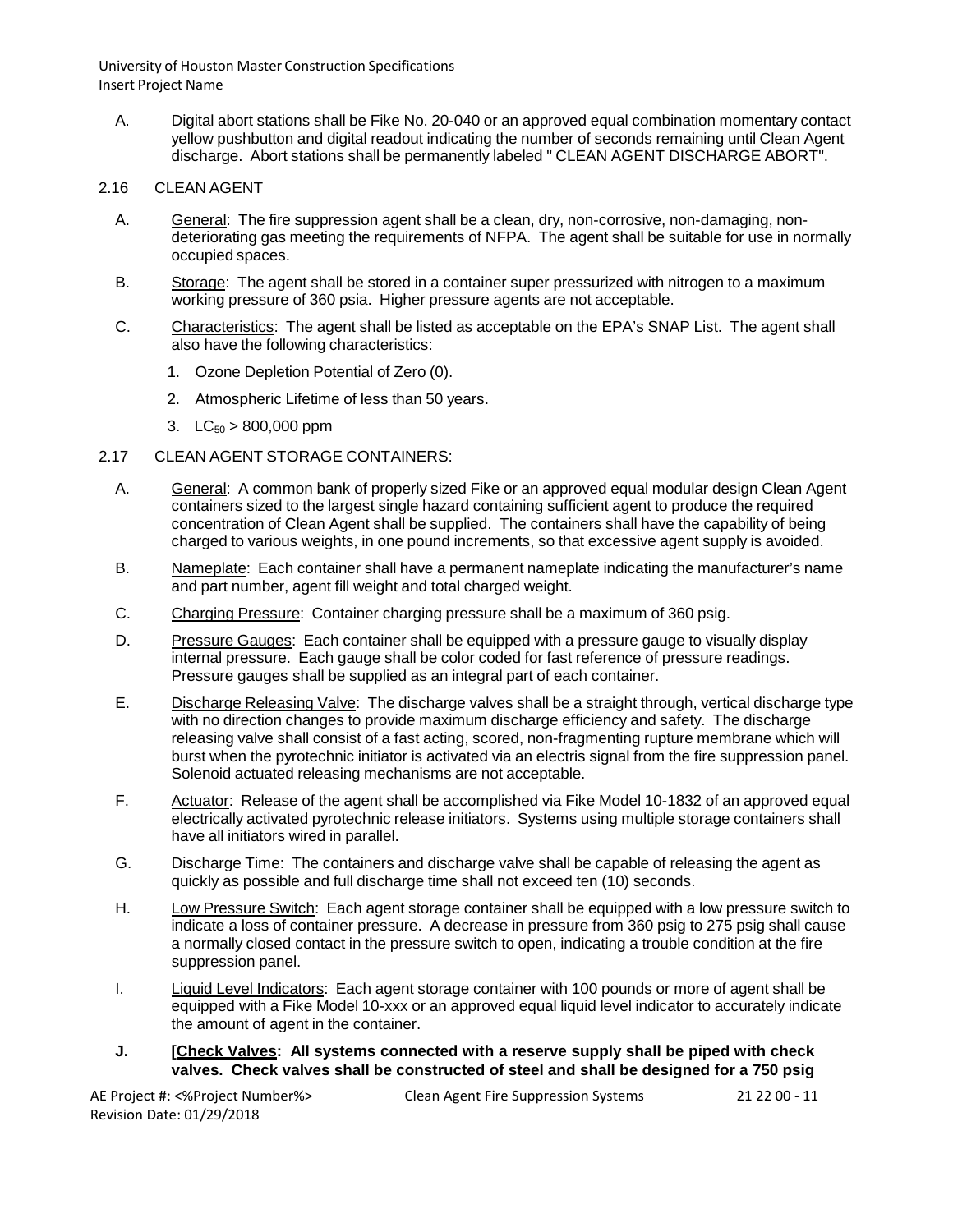A. Digital abort stations shall be Fike No. 20-040 or an approved equal combination momentary contact yellow pushbutton and digital readout indicating the number of seconds remaining until Clean Agent discharge. Abort stations shall be permanently labeled " CLEAN AGENT DISCHARGE ABORT".

## 2.16 CLEAN AGENT

- A. General: The fire suppression agent shall be a clean, dry, non-corrosive, non-damaging, nondeteriorating gas meeting the requirements of NFPA. The agent shall be suitable for use in normally occupied spaces.
- B. Storage: The agent shall be stored in a container super pressurized with nitrogen to a maximum working pressure of 360 psia. Higher pressure agents are not acceptable.
- C. Characteristics: The agent shall be listed as acceptable on the EPA's SNAP List. The agent shall also have the following characteristics:
	- 1. Ozone Depletion Potential of Zero (0).
	- 2. Atmospheric Lifetime of less than 50 years.
	- 3.  $LC_{50} > 800,000$  ppm
- 2.17 CLEAN AGENT STORAGE CONTAINERS:
	- A. General: A common bank of properly sized Fike or an approved equal modular design Clean Agent containers sized to the largest single hazard containing sufficient agent to produce the required concentration of Clean Agent shall be supplied. The containers shall have the capability of being charged to various weights, in one pound increments, so that excessive agent supply is avoided.
	- B. Nameplate: Each container shall have a permanent nameplate indicating the manufacturer's name and part number, agent fill weight and total charged weight.
	- C. Charging Pressure: Container charging pressure shall be a maximum of 360 psig.
	- D. Pressure Gauges: Each container shall be equipped with a pressure gauge to visually display internal pressure. Each gauge shall be color coded for fast reference of pressure readings. Pressure gauges shall be supplied as an integral part of each container.
	- E. Discharge Releasing Valve: The discharge valves shall be a straight through, vertical discharge type with no direction changes to provide maximum discharge efficiency and safety. The discharge releasing valve shall consist of a fast acting, scored, non-fragmenting rupture membrane which will burst when the pyrotechnic initiator is activated via an electris signal from the fire suppression panel. Solenoid actuated releasing mechanisms are not acceptable.
	- F. Actuator: Release of the agent shall be accomplished via Fike Model 10-1832 of an approved equal electrically activated pyrotechnic release initiators. Systems using multiple storage containers shall have all initiators wired in parallel.
	- G. Discharge Time: The containers and discharge valve shall be capable of releasing the agent as quickly as possible and full discharge time shall not exceed ten (10) seconds.
	- H. Low Pressure Switch: Each agent storage container shall be equipped with a low pressure switch to indicate a loss of container pressure. A decrease in pressure from 360 psig to 275 psig shall cause a normally closed contact in the pressure switch to open, indicating a trouble condition at the fire suppression panel.
	- I. Liquid Level Indicators: Each agent storage container with 100 pounds or more of agent shall be equipped with a Fike Model 10-xxx or an approved equal liquid level indicator to accurately indicate the amount of agent in the container.
	- **J. [Check Valves: All systems connected with a reserve supply shall be piped with check valves. Check valves shall be constructed of steel and shall be designed for a 750 psig**

Revision Date: 01/29/2018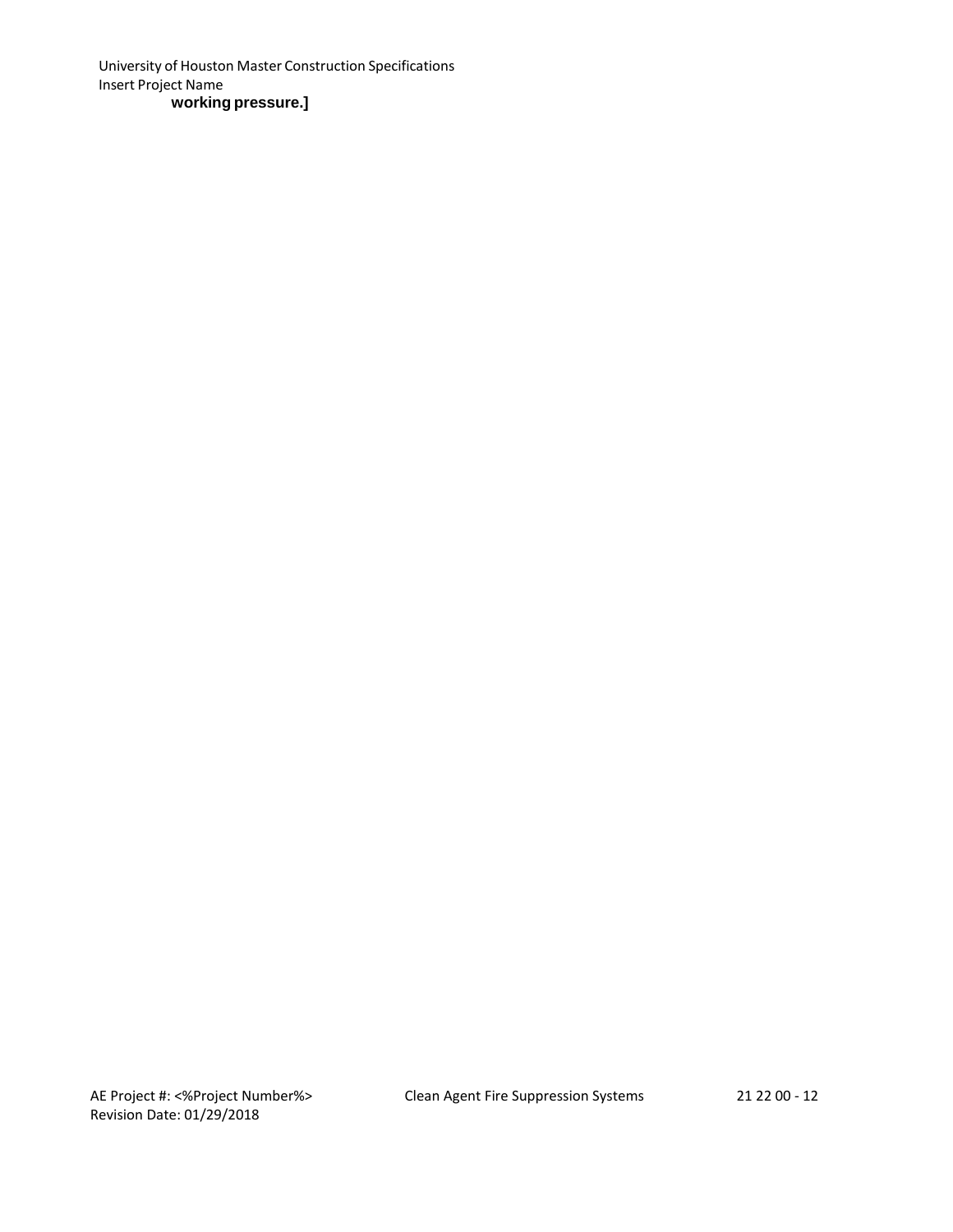University of Houston Master Construction Specifications Insert Project Name **working pressure.]**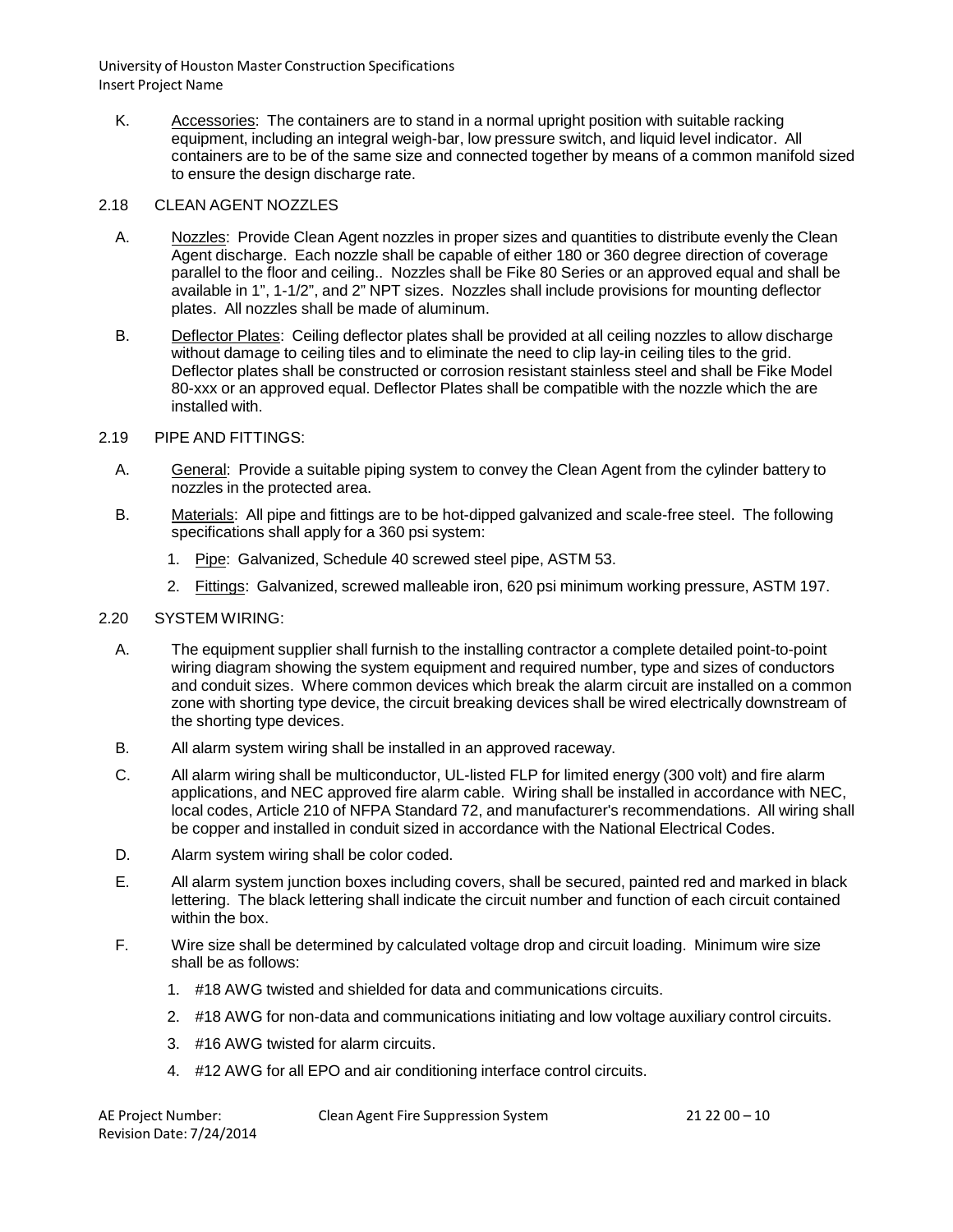K. Accessories: The containers are to stand in a normal upright position with suitable racking equipment, including an integral weigh-bar, low pressure switch, and liquid level indicator. All containers are to be of the same size and connected together by means of a common manifold sized to ensure the design discharge rate.

### 2.18 CLEAN AGENT NOZZLES

- A. Nozzles: Provide Clean Agent nozzles in proper sizes and quantities to distribute evenly the Clean Agent discharge. Each nozzle shall be capable of either 180 or 360 degree direction of coverage parallel to the floor and ceiling.. Nozzles shall be Fike 80 Series or an approved equal and shall be available in 1", 1-1/2", and 2" NPT sizes. Nozzles shall include provisions for mounting deflector plates. All nozzles shall be made of aluminum.
- B. Deflector Plates: Ceiling deflector plates shall be provided at all ceiling nozzles to allow discharge without damage to ceiling tiles and to eliminate the need to clip lay-in ceiling tiles to the grid. Deflector plates shall be constructed or corrosion resistant stainless steel and shall be Fike Model 80-xxx or an approved equal. Deflector Plates shall be compatible with the nozzle which the are installed with.
- 2.19 PIPE AND FITTINGS:
	- A. General: Provide a suitable piping system to convey the Clean Agent from the cylinder battery to nozzles in the protected area.
	- B. Materials: All pipe and fittings are to be hot-dipped galvanized and scale-free steel. The following specifications shall apply for a 360 psi system:
		- 1. Pipe: Galvanized, Schedule 40 screwed steel pipe, ASTM 53.
		- 2. Fittings: Galvanized, screwed malleable iron, 620 psi minimum working pressure, ASTM 197.
- 2.20 SYSTEM WIRING:
	- A. The equipment supplier shall furnish to the installing contractor a complete detailed point-to-point wiring diagram showing the system equipment and required number, type and sizes of conductors and conduit sizes. Where common devices which break the alarm circuit are installed on a common zone with shorting type device, the circuit breaking devices shall be wired electrically downstream of the shorting type devices.
	- B. All alarm system wiring shall be installed in an approved raceway.
	- C. All alarm wiring shall be multiconductor, UL-listed FLP for limited energy (300 volt) and fire alarm applications, and NEC approved fire alarm cable. Wiring shall be installed in accordance with NEC, local codes, Article 210 of NFPA Standard 72, and manufacturer's recommendations. All wiring shall be copper and installed in conduit sized in accordance with the National Electrical Codes.
	- D. Alarm system wiring shall be color coded.
	- E. All alarm system junction boxes including covers, shall be secured, painted red and marked in black lettering. The black lettering shall indicate the circuit number and function of each circuit contained within the box.
	- F. Wire size shall be determined by calculated voltage drop and circuit loading. Minimum wire size shall be as follows:
		- 1. #18 AWG twisted and shielded for data and communications circuits.
		- 2. #18 AWG for non-data and communications initiating and low voltage auxiliary control circuits.
		- 3. #16 AWG twisted for alarm circuits.
		- 4. #12 AWG for all EPO and air conditioning interface control circuits.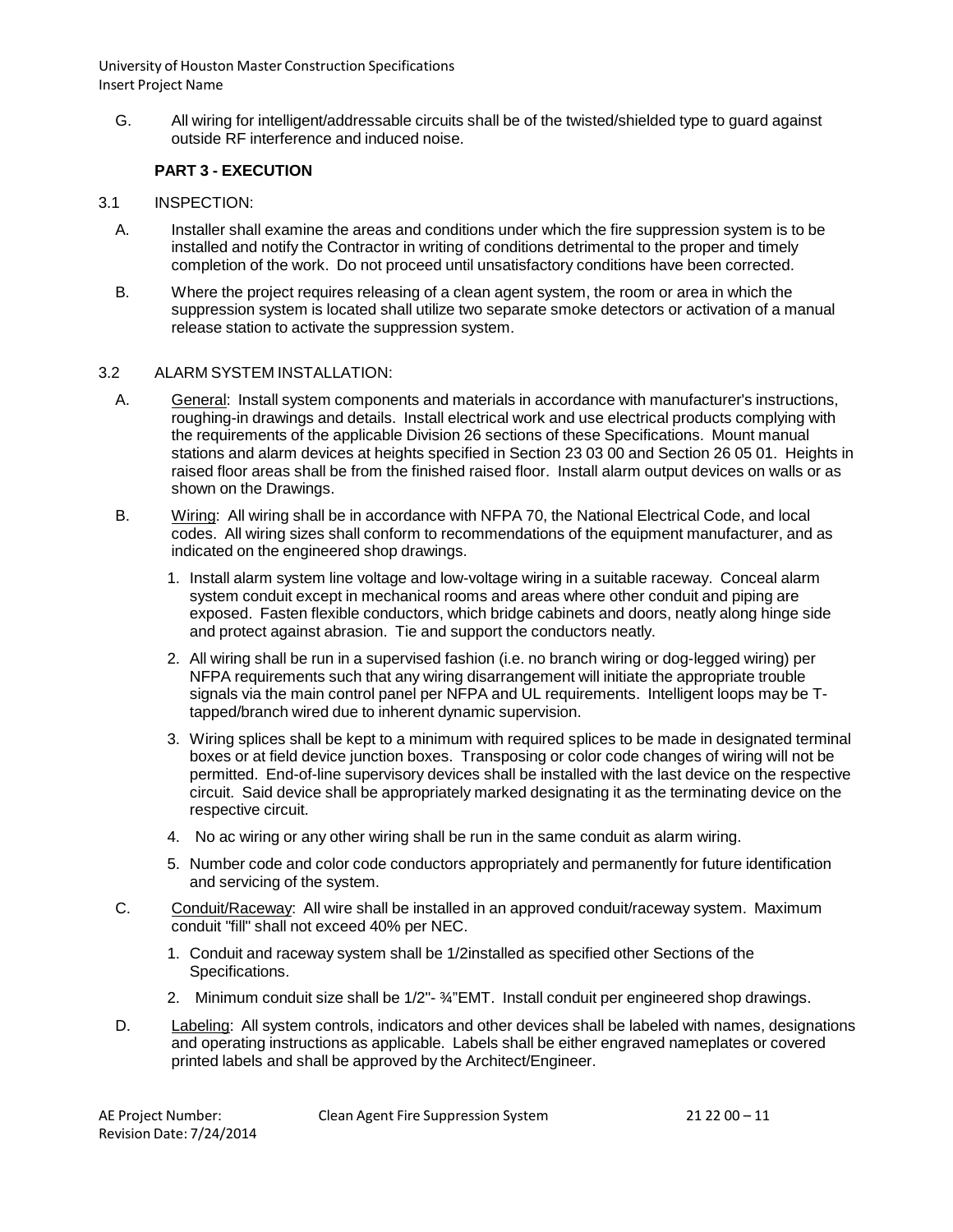G. All wiring for intelligent/addressable circuits shall be of the twisted/shielded type to guard against outside RF interference and induced noise.

## **PART 3 - EXECUTION**

- 3.1 INSPECTION:
	- A. Installer shall examine the areas and conditions under which the fire suppression system is to be installed and notify the Contractor in writing of conditions detrimental to the proper and timely completion of the work. Do not proceed until unsatisfactory conditions have been corrected.
	- B. Where the project requires releasing of a clean agent system, the room or area in which the suppression system is located shall utilize two separate smoke detectors or activation of a manual release station to activate the suppression system.

### 3.2 ALARM SYSTEM INSTALLATION:

- A. General: Install system components and materials in accordance with manufacturer's instructions, roughing-in drawings and details. Install electrical work and use electrical products complying with the requirements of the applicable Division 26 sections of these Specifications. Mount manual stations and alarm devices at heights specified in Section 23 03 00 and Section 26 05 01. Heights in raised floor areas shall be from the finished raised floor. Install alarm output devices on walls or as shown on the Drawings.
- B. Wiring: All wiring shall be in accordance with NFPA 70, the National Electrical Code, and local codes. All wiring sizes shall conform to recommendations of the equipment manufacturer, and as indicated on the engineered shop drawings.
	- 1. Install alarm system line voltage and low-voltage wiring in a suitable raceway. Conceal alarm system conduit except in mechanical rooms and areas where other conduit and piping are exposed. Fasten flexible conductors, which bridge cabinets and doors, neatly along hinge side and protect against abrasion. Tie and support the conductors neatly.
	- 2. All wiring shall be run in a supervised fashion (i.e. no branch wiring or dog-legged wiring) per NFPA requirements such that any wiring disarrangement will initiate the appropriate trouble signals via the main control panel per NFPA and UL requirements. Intelligent loops may be Ttapped/branch wired due to inherent dynamic supervision.
	- 3. Wiring splices shall be kept to a minimum with required splices to be made in designated terminal boxes or at field device junction boxes. Transposing or color code changes of wiring will not be permitted. End-of-line supervisory devices shall be installed with the last device on the respective circuit. Said device shall be appropriately marked designating it as the terminating device on the respective circuit.
	- 4. No ac wiring or any other wiring shall be run in the same conduit as alarm wiring.
	- 5. Number code and color code conductors appropriately and permanently for future identification and servicing of the system.
- C. Conduit/Raceway: All wire shall be installed in an approved conduit/raceway system. Maximum conduit "fill" shall not exceed 40% per NEC.
	- 1. Conduit and raceway system shall be 1/2installed as specified other Sections of the Specifications.
	- 2. Minimum conduit size shall be 1/2"- ¾"EMT. Install conduit per engineered shop drawings.
- D. Labeling: All system controls, indicators and other devices shall be labeled with names, designations and operating instructions as applicable. Labels shall be either engraved nameplates or covered printed labels and shall be approved by the Architect/Engineer.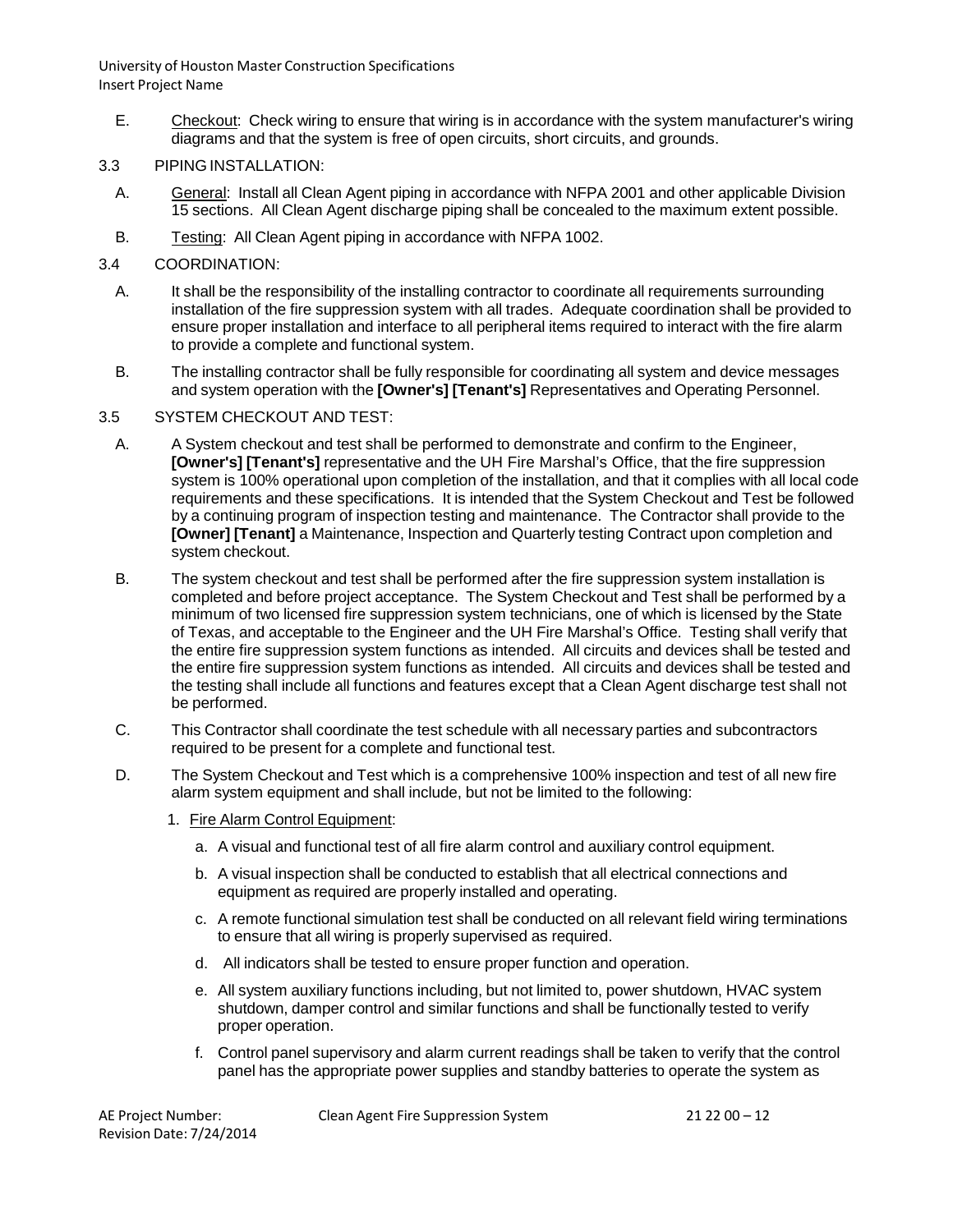- E. Checkout: Check wiring to ensure that wiring is in accordance with the system manufacturer's wiring diagrams and that the system is free of open circuits, short circuits, and grounds.
- 3.3 PIPING INSTALLATION:
	- A. General: Install all Clean Agent piping in accordance with NFPA 2001 and other applicable Division 15 sections. All Clean Agent discharge piping shall be concealed to the maximum extent possible.
	- B. Testing: All Clean Agent piping in accordance with NFPA 1002.
- 3.4 COORDINATION:
	- A. It shall be the responsibility of the installing contractor to coordinate all requirements surrounding installation of the fire suppression system with all trades. Adequate coordination shall be provided to ensure proper installation and interface to all peripheral items required to interact with the fire alarm to provide a complete and functional system.
	- B. The installing contractor shall be fully responsible for coordinating all system and device messages and system operation with the **[Owner's] [Tenant's]** Representatives and Operating Personnel.

## 3.5 SYSTEM CHECKOUT AND TEST:

- A. A System checkout and test shall be performed to demonstrate and confirm to the Engineer, **[Owner's] [Tenant's]** representative and the UH Fire Marshal's Office, that the fire suppression system is 100% operational upon completion of the installation, and that it complies with all local code requirements and these specifications. It is intended that the System Checkout and Test be followed by a continuing program of inspection testing and maintenance. The Contractor shall provide to the **[Owner] [Tenant]** a Maintenance, Inspection and Quarterly testing Contract upon completion and system checkout.
- B. The system checkout and test shall be performed after the fire suppression system installation is completed and before project acceptance. The System Checkout and Test shall be performed by a minimum of two licensed fire suppression system technicians, one of which is licensed by the State of Texas, and acceptable to the Engineer and the UH Fire Marshal's Office. Testing shall verify that the entire fire suppression system functions as intended. All circuits and devices shall be tested and the entire fire suppression system functions as intended. All circuits and devices shall be tested and the testing shall include all functions and features except that a Clean Agent discharge test shall not be performed.
- C. This Contractor shall coordinate the test schedule with all necessary parties and subcontractors required to be present for a complete and functional test.
- D. The System Checkout and Test which is a comprehensive 100% inspection and test of all new fire alarm system equipment and shall include, but not be limited to the following:
	- 1. Fire Alarm Control Equipment:
		- a. A visual and functional test of all fire alarm control and auxiliary control equipment.
		- b. A visual inspection shall be conducted to establish that all electrical connections and equipment as required are properly installed and operating.
		- c. A remote functional simulation test shall be conducted on all relevant field wiring terminations to ensure that all wiring is properly supervised as required.
		- d. All indicators shall be tested to ensure proper function and operation.
		- e. All system auxiliary functions including, but not limited to, power shutdown, HVAC system shutdown, damper control and similar functions and shall be functionally tested to verify proper operation.
		- f. Control panel supervisory and alarm current readings shall be taken to verify that the control panel has the appropriate power supplies and standby batteries to operate the system as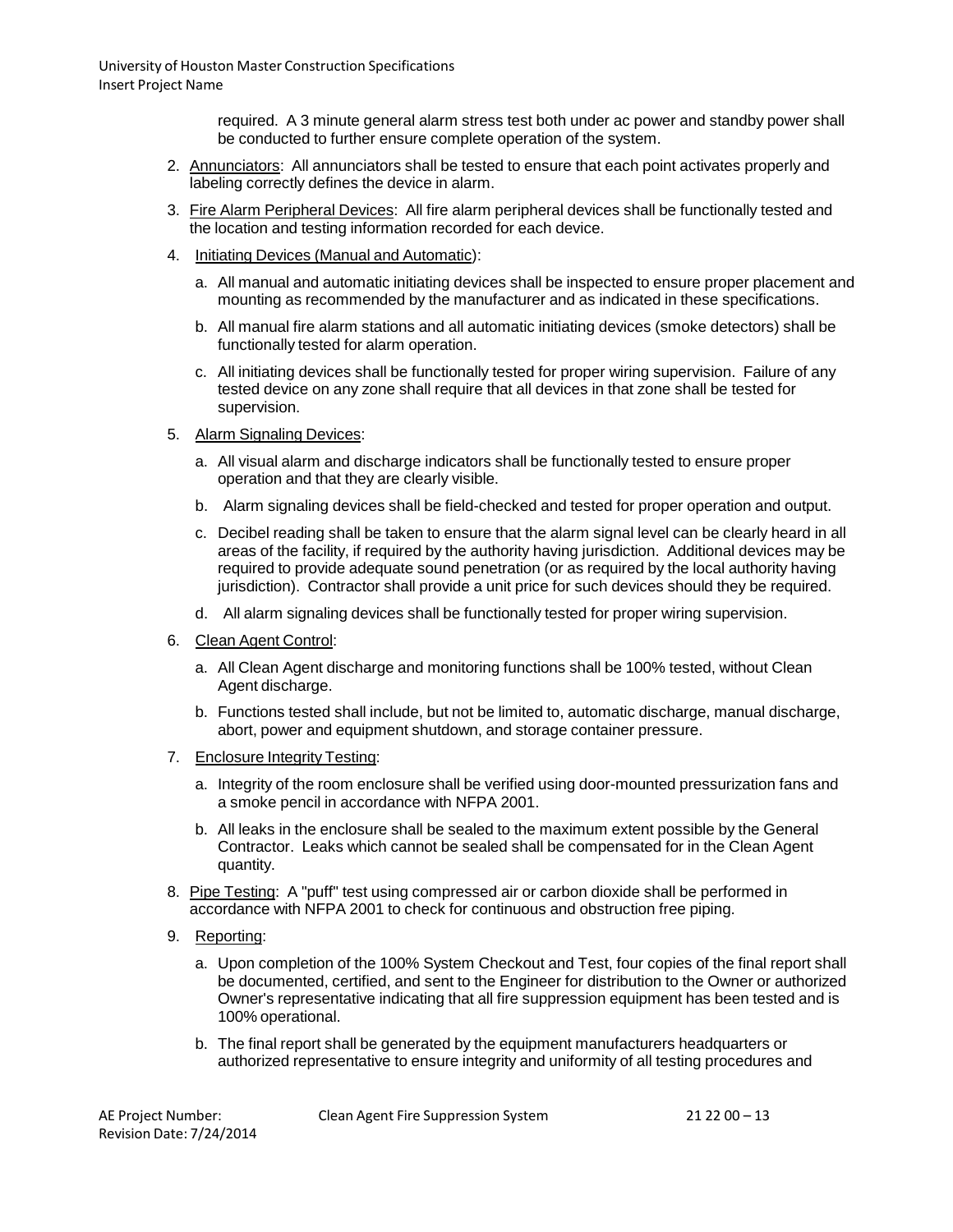> required. A 3 minute general alarm stress test both under ac power and standby power shall be conducted to further ensure complete operation of the system.

- 2. Annunciators: All annunciators shall be tested to ensure that each point activates properly and labeling correctly defines the device in alarm.
- 3. Fire Alarm Peripheral Devices: All fire alarm peripheral devices shall be functionally tested and the location and testing information recorded for each device.
- 4. Initiating Devices (Manual and Automatic):
	- a. All manual and automatic initiating devices shall be inspected to ensure proper placement and mounting as recommended by the manufacturer and as indicated in these specifications.
	- b. All manual fire alarm stations and all automatic initiating devices (smoke detectors) shall be functionally tested for alarm operation.
	- c. All initiating devices shall be functionally tested for proper wiring supervision. Failure of any tested device on any zone shall require that all devices in that zone shall be tested for supervision.
- 5. Alarm Signaling Devices:
	- a. All visual alarm and discharge indicators shall be functionally tested to ensure proper operation and that they are clearly visible.
	- b. Alarm signaling devices shall be field-checked and tested for proper operation and output.
	- c. Decibel reading shall be taken to ensure that the alarm signal level can be clearly heard in all areas of the facility, if required by the authority having jurisdiction. Additional devices may be required to provide adequate sound penetration (or as required by the local authority having jurisdiction). Contractor shall provide a unit price for such devices should they be required.
	- d. All alarm signaling devices shall be functionally tested for proper wiring supervision.
- 6. Clean Agent Control:
	- a. All Clean Agent discharge and monitoring functions shall be 100% tested, without Clean Agent discharge.
	- b. Functions tested shall include, but not be limited to, automatic discharge, manual discharge, abort, power and equipment shutdown, and storage container pressure.
- 7. Enclosure Integrity Testing:
	- a. Integrity of the room enclosure shall be verified using door-mounted pressurization fans and a smoke pencil in accordance with NFPA 2001.
	- b. All leaks in the enclosure shall be sealed to the maximum extent possible by the General Contractor. Leaks which cannot be sealed shall be compensated for in the Clean Agent quantity.
- 8. Pipe Testing: A "puff" test using compressed air or carbon dioxide shall be performed in accordance with NFPA 2001 to check for continuous and obstruction free piping.
- 9. Reporting:
	- a. Upon completion of the 100% System Checkout and Test, four copies of the final report shall be documented, certified, and sent to the Engineer for distribution to the Owner or authorized Owner's representative indicating that all fire suppression equipment has been tested and is 100% operational.
	- b. The final report shall be generated by the equipment manufacturers headquarters or authorized representative to ensure integrity and uniformity of all testing procedures and